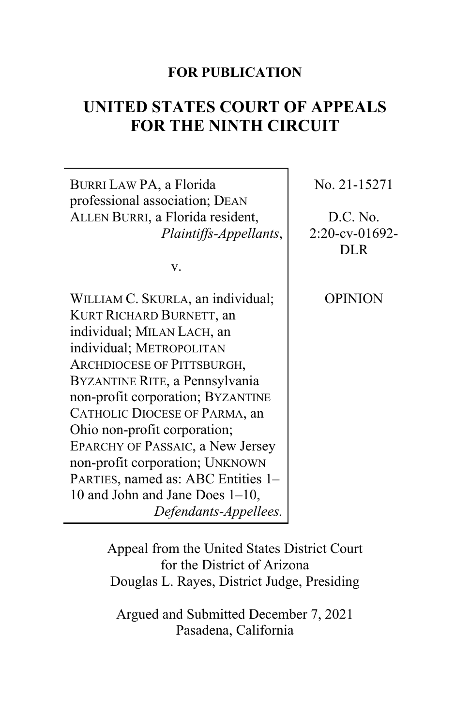# **FOR PUBLICATION**

# **UNITED STATES COURT OF APPEALS FOR THE NINTH CIRCUIT**

٦

| BURRI LAW PA, a Florida<br>professional association; DEAN                                                                                                                                                                                                                                                                                                                                                                                                                 | No. 21-15271                    |
|---------------------------------------------------------------------------------------------------------------------------------------------------------------------------------------------------------------------------------------------------------------------------------------------------------------------------------------------------------------------------------------------------------------------------------------------------------------------------|---------------------------------|
| ALLEN BURRI, a Florida resident,                                                                                                                                                                                                                                                                                                                                                                                                                                          | D.C. No.                        |
| Plaintiffs-Appellants,                                                                                                                                                                                                                                                                                                                                                                                                                                                    | $2:20$ -cv-01692-<br><b>DLR</b> |
| V.                                                                                                                                                                                                                                                                                                                                                                                                                                                                        |                                 |
| WILLIAM C. SKURLA, an individual;<br>KURT RICHARD BURNETT, an<br>individual; MILAN LACH, an<br>individual; METROPOLITAN<br>ARCHDIOCESE OF PITTSBURGH,<br>BYZANTINE RITE, a Pennsylvania<br>non-profit corporation; BYZANTINE<br>CATHOLIC DIOCESE OF PARMA, an<br>Ohio non-profit corporation;<br>EPARCHY OF PASSAIC, a New Jersey<br>non-profit corporation; UNKNOWN<br>PARTIES, named as: ABC Entities 1-<br>10 and John and Jane Does $1-10$ ,<br>Defendants-Appellees. | <b>OPINION</b>                  |

Appeal from the United States District Court for the District of Arizona Douglas L. Rayes, District Judge, Presiding

Argued and Submitted December 7, 2021 Pasadena, California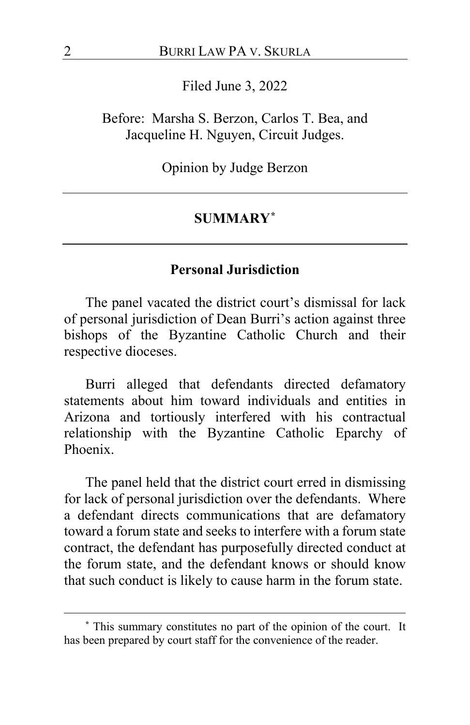Filed June 3, 2022

Before: Marsha S. Berzon, Carlos T. Bea, and Jacqueline H. Nguyen, Circuit Judges.

Opinion by Judge Berzon

## **SUMMARY[\\*](#page-1-0)**

# **Personal Jurisdiction**

The panel vacated the district court's dismissal for lack of personal jurisdiction of Dean Burri's action against three bishops of the Byzantine Catholic Church and their respective dioceses.

Burri alleged that defendants directed defamatory statements about him toward individuals and entities in Arizona and tortiously interfered with his contractual relationship with the Byzantine Catholic Eparchy of Phoenix.

The panel held that the district court erred in dismissing for lack of personal jurisdiction over the defendants. Where a defendant directs communications that are defamatory toward a forum state and seeks to interfere with a forum state contract, the defendant has purposefully directed conduct at the forum state, and the defendant knows or should know that such conduct is likely to cause harm in the forum state.

<span id="page-1-0"></span>**<sup>\*</sup>** This summary constitutes no part of the opinion of the court. It has been prepared by court staff for the convenience of the reader.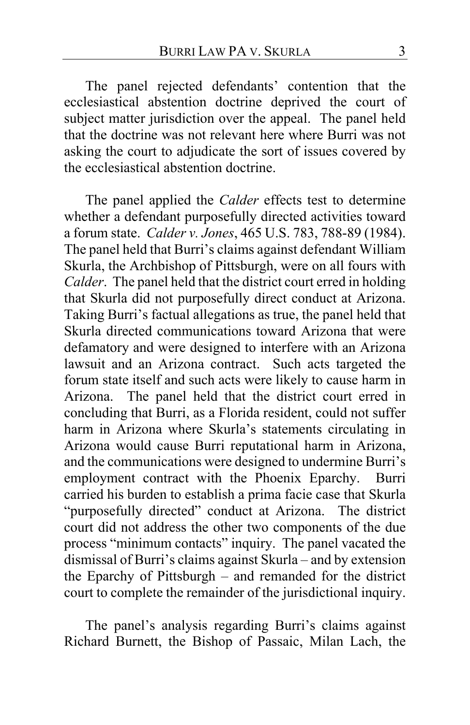The panel rejected defendants' contention that the ecclesiastical abstention doctrine deprived the court of subject matter jurisdiction over the appeal. The panel held that the doctrine was not relevant here where Burri was not asking the court to adjudicate the sort of issues covered by the ecclesiastical abstention doctrine.

The panel applied the *Calder* effects test to determine whether a defendant purposefully directed activities toward a forum state. *Calder v. Jones*, 465 U.S. 783, 788-89 (1984). The panel held that Burri's claims against defendant William Skurla, the Archbishop of Pittsburgh, were on all fours with *Calder*. The panel held that the district court erred in holding that Skurla did not purposefully direct conduct at Arizona. Taking Burri's factual allegations as true, the panel held that Skurla directed communications toward Arizona that were defamatory and were designed to interfere with an Arizona lawsuit and an Arizona contract. Such acts targeted the forum state itself and such acts were likely to cause harm in Arizona. The panel held that the district court erred in concluding that Burri, as a Florida resident, could not suffer harm in Arizona where Skurla's statements circulating in Arizona would cause Burri reputational harm in Arizona, and the communications were designed to undermine Burri's employment contract with the Phoenix Eparchy. Burri carried his burden to establish a prima facie case that Skurla "purposefully directed" conduct at Arizona. The district court did not address the other two components of the due process "minimum contacts" inquiry. The panel vacated the dismissal of Burri's claims against Skurla – and by extension the Eparchy of Pittsburgh – and remanded for the district court to complete the remainder of the jurisdictional inquiry.

The panel's analysis regarding Burri's claims against Richard Burnett, the Bishop of Passaic, Milan Lach, the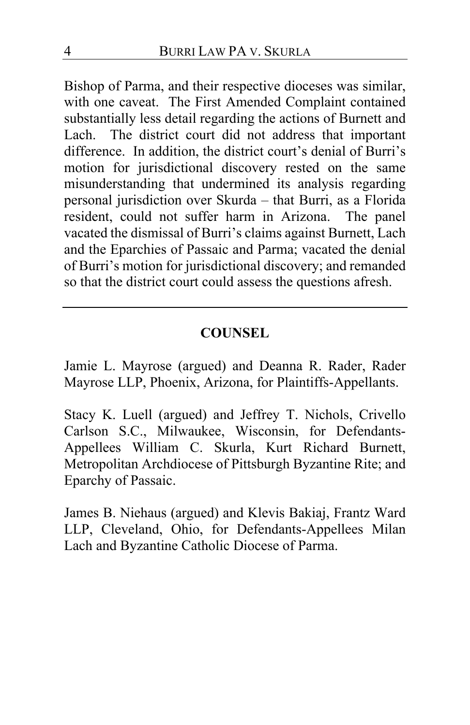Bishop of Parma, and their respective dioceses was similar, with one caveat. The First Amended Complaint contained substantially less detail regarding the actions of Burnett and Lach. The district court did not address that important difference. In addition, the district court's denial of Burri's motion for jurisdictional discovery rested on the same misunderstanding that undermined its analysis regarding personal jurisdiction over Skurda – that Burri, as a Florida resident, could not suffer harm in Arizona. The panel vacated the dismissal of Burri's claims against Burnett, Lach and the Eparchies of Passaic and Parma; vacated the denial of Burri's motion for jurisdictional discovery; and remanded so that the district court could assess the questions afresh.

# **COUNSEL**

Jamie L. Mayrose (argued) and Deanna R. Rader, Rader Mayrose LLP, Phoenix, Arizona, for Plaintiffs-Appellants.

Stacy K. Luell (argued) and Jeffrey T. Nichols, Crivello Carlson S.C., Milwaukee, Wisconsin, for Defendants-Appellees William C. Skurla, Kurt Richard Burnett, Metropolitan Archdiocese of Pittsburgh Byzantine Rite; and Eparchy of Passaic.

James B. Niehaus (argued) and Klevis Bakiaj, Frantz Ward LLP, Cleveland, Ohio, for Defendants-Appellees Milan Lach and Byzantine Catholic Diocese of Parma.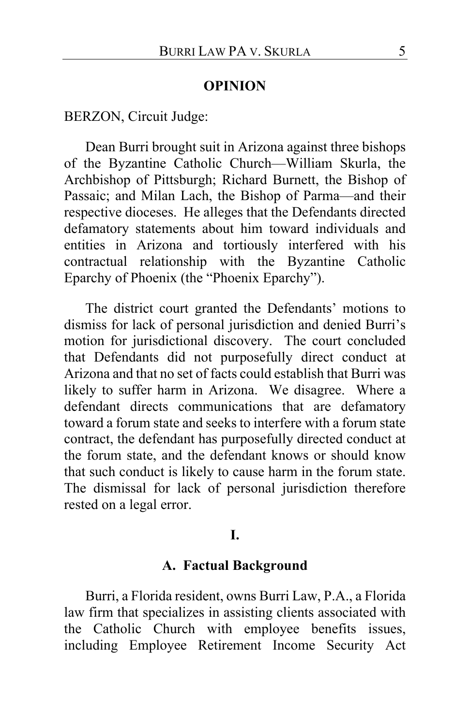#### **OPINION**

# BERZON, Circuit Judge:

Dean Burri brought suit in Arizona against three bishops of the Byzantine Catholic Church—William Skurla, the Archbishop of Pittsburgh; Richard Burnett, the Bishop of Passaic; and Milan Lach, the Bishop of Parma—and their respective dioceses. He alleges that the Defendants directed defamatory statements about him toward individuals and entities in Arizona and tortiously interfered with his contractual relationship with the Byzantine Catholic Eparchy of Phoenix (the "Phoenix Eparchy").

The district court granted the Defendants' motions to dismiss for lack of personal jurisdiction and denied Burri's motion for jurisdictional discovery. The court concluded that Defendants did not purposefully direct conduct at Arizona and that no set of facts could establish that Burri was likely to suffer harm in Arizona. We disagree. Where a defendant directs communications that are defamatory toward a forum state and seeks to interfere with a forum state contract, the defendant has purposefully directed conduct at the forum state, and the defendant knows or should know that such conduct is likely to cause harm in the forum state. The dismissal for lack of personal jurisdiction therefore rested on a legal error.

#### **I.**

#### **A. Factual Background**

Burri, a Florida resident, owns Burri Law, P.A., a Florida law firm that specializes in assisting clients associated with the Catholic Church with employee benefits issues, including Employee Retirement Income Security Act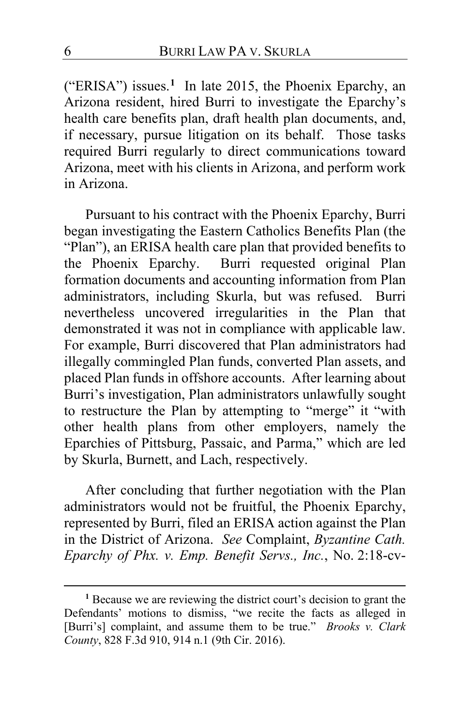("ERISA") issues.**[1](#page-5-0)** In late 2015, the Phoenix Eparchy, an Arizona resident, hired Burri to investigate the Eparchy's health care benefits plan, draft health plan documents, and, if necessary, pursue litigation on its behalf. Those tasks required Burri regularly to direct communications toward Arizona, meet with his clients in Arizona, and perform work in Arizona.

Pursuant to his contract with the Phoenix Eparchy, Burri began investigating the Eastern Catholics Benefits Plan (the "Plan"), an ERISA health care plan that provided benefits to the Phoenix Eparchy. Burri requested original Plan formation documents and accounting information from Plan administrators, including Skurla, but was refused. Burri nevertheless uncovered irregularities in the Plan that demonstrated it was not in compliance with applicable law. For example, Burri discovered that Plan administrators had illegally commingled Plan funds, converted Plan assets, and placed Plan funds in offshore accounts. After learning about Burri's investigation, Plan administrators unlawfully sought to restructure the Plan by attempting to "merge" it "with other health plans from other employers, namely the Eparchies of Pittsburg, Passaic, and Parma," which are led by Skurla, Burnett, and Lach, respectively.

After concluding that further negotiation with the Plan administrators would not be fruitful, the Phoenix Eparchy, represented by Burri, filed an ERISA action against the Plan in the District of Arizona. *See* Complaint, *Byzantine Cath. Eparchy of Phx. v. Emp. Benefit Servs., Inc.*, No. 2:18-cv-

<span id="page-5-0"></span>**<sup>1</sup>** Because we are reviewing the district court's decision to grant the Defendants' motions to dismiss, "we recite the facts as alleged in [Burri's] complaint, and assume them to be true." *Brooks v. Clark County*, 828 F.3d 910, 914 n.1 (9th Cir. 2016).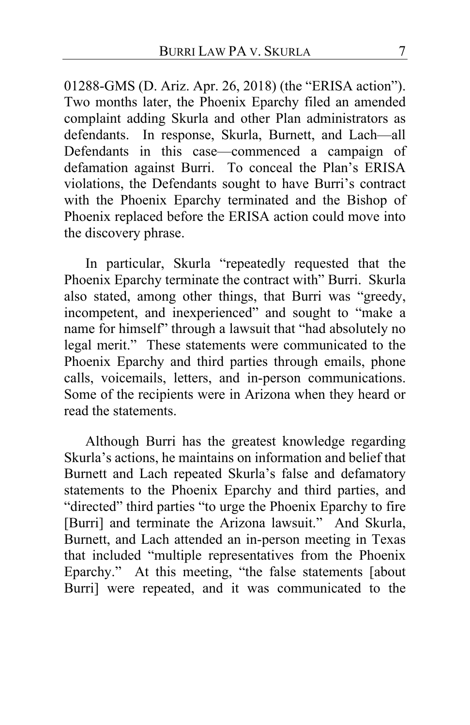01288-GMS (D. Ariz. Apr. 26, 2018) (the "ERISA action"). Two months later, the Phoenix Eparchy filed an amended complaint adding Skurla and other Plan administrators as defendants. In response, Skurla, Burnett, and Lach—all Defendants in this case—commenced a campaign of defamation against Burri. To conceal the Plan's ERISA violations, the Defendants sought to have Burri's contract with the Phoenix Eparchy terminated and the Bishop of Phoenix replaced before the ERISA action could move into the discovery phrase.

In particular, Skurla "repeatedly requested that the Phoenix Eparchy terminate the contract with" Burri. Skurla also stated, among other things, that Burri was "greedy, incompetent, and inexperienced" and sought to "make a name for himself" through a lawsuit that "had absolutely no legal merit." These statements were communicated to the Phoenix Eparchy and third parties through emails, phone calls, voicemails, letters, and in-person communications. Some of the recipients were in Arizona when they heard or read the statements.

Although Burri has the greatest knowledge regarding Skurla's actions, he maintains on information and belief that Burnett and Lach repeated Skurla's false and defamatory statements to the Phoenix Eparchy and third parties, and "directed" third parties "to urge the Phoenix Eparchy to fire [Burri] and terminate the Arizona lawsuit." And Skurla, Burnett, and Lach attended an in-person meeting in Texas that included "multiple representatives from the Phoenix Eparchy." At this meeting, "the false statements [about Burri] were repeated, and it was communicated to the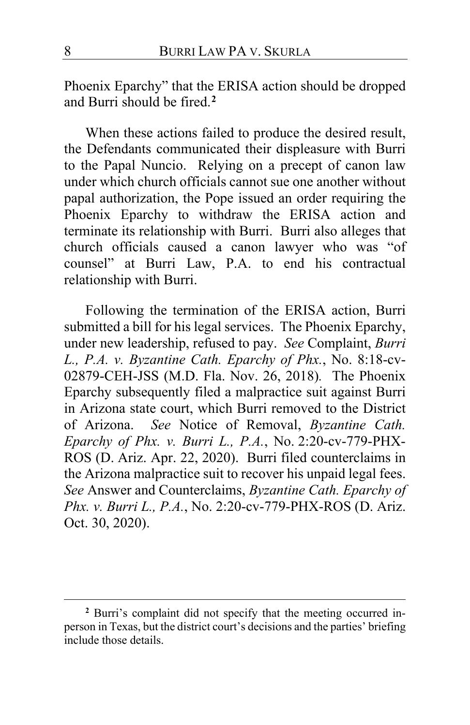Phoenix Eparchy" that the ERISA action should be dropped and Burri should be fired.**[2](#page-7-0)**

When these actions failed to produce the desired result, the Defendants communicated their displeasure with Burri to the Papal Nuncio. Relying on a precept of canon law under which church officials cannot sue one another without papal authorization, the Pope issued an order requiring the Phoenix Eparchy to withdraw the ERISA action and terminate its relationship with Burri. Burri also alleges that church officials caused a canon lawyer who was "of counsel" at Burri Law, P.A. to end his contractual relationship with Burri.

Following the termination of the ERISA action, Burri submitted a bill for his legal services. The Phoenix Eparchy, under new leadership, refused to pay. *See* Complaint, *Burri L., P.A. v. Byzantine Cath. Eparchy of Phx.*, No. 8:18-cv-02879-CEH-JSS (M.D. Fla. Nov. 26, 2018)*.* The Phoenix Eparchy subsequently filed a malpractice suit against Burri in Arizona state court, which Burri removed to the District of Arizona. *See* Notice of Removal, *Byzantine Cath. Eparchy of Phx. v. Burri L., P.A.*, No. 2:20-cv-779-PHX-ROS (D. Ariz. Apr. 22, 2020).Burri filed counterclaims in the Arizona malpractice suit to recover his unpaid legal fees. *See* Answer and Counterclaims, *Byzantine Cath. Eparchy of Phx. v. Burri L., P.A.*, No. 2:20-cv-779-PHX-ROS (D. Ariz. Oct. 30, 2020).

<span id="page-7-0"></span>**<sup>2</sup>** Burri's complaint did not specify that the meeting occurred inperson in Texas, but the district court's decisions and the parties' briefing include those details.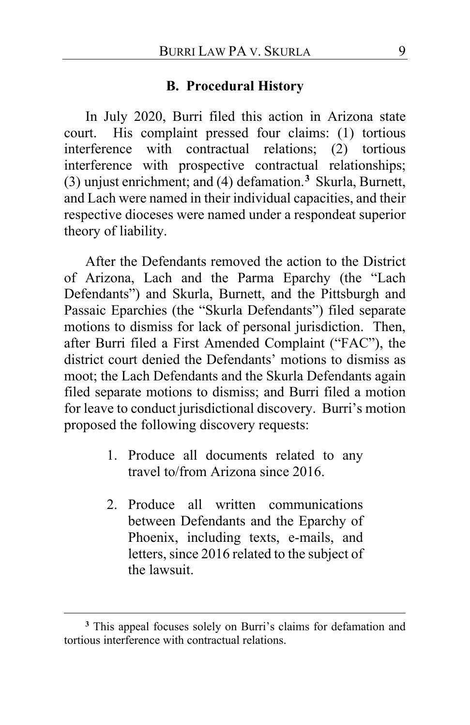# **B. Procedural History**

In July 2020, Burri filed this action in Arizona state court. His complaint pressed four claims: (1) tortious interference with contractual relations; (2) tortious interference with prospective contractual relationships; (3) unjust enrichment; and (4) defamation.**[3](#page-8-0)** Skurla, Burnett, and Lach were named in their individual capacities, and their respective dioceses were named under a respondeat superior theory of liability.

After the Defendants removed the action to the District of Arizona, Lach and the Parma Eparchy (the "Lach Defendants") and Skurla, Burnett, and the Pittsburgh and Passaic Eparchies (the "Skurla Defendants") filed separate motions to dismiss for lack of personal jurisdiction. Then, after Burri filed a First Amended Complaint ("FAC"), the district court denied the Defendants' motions to dismiss as moot; the Lach Defendants and the Skurla Defendants again filed separate motions to dismiss; and Burri filed a motion for leave to conduct jurisdictional discovery. Burri's motion proposed the following discovery requests:

- 1. Produce all documents related to any travel to/from Arizona since 2016.
- 2. Produce all written communications between Defendants and the Eparchy of Phoenix, including texts, e-mails, and letters, since 2016 related to the subject of the lawsuit.

<span id="page-8-0"></span>**<sup>3</sup>** This appeal focuses solely on Burri's claims for defamation and tortious interference with contractual relations.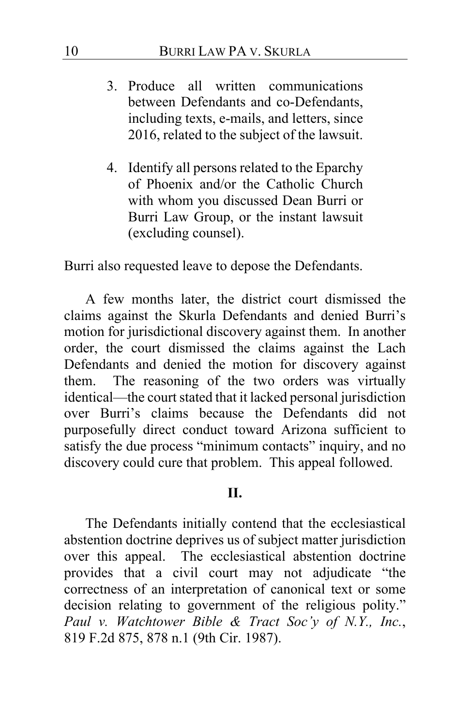- 3. Produce all written communications between Defendants and co-Defendants, including texts, e-mails, and letters, since 2016, related to the subject of the lawsuit.
- 4. Identify all persons related to the Eparchy of Phoenix and/or the Catholic Church with whom you discussed Dean Burri or Burri Law Group, or the instant lawsuit (excluding counsel).

Burri also requested leave to depose the Defendants.

A few months later, the district court dismissed the claims against the Skurla Defendants and denied Burri's motion for jurisdictional discovery against them. In another order, the court dismissed the claims against the Lach Defendants and denied the motion for discovery against them.The reasoning of the two orders was virtually identical—the court stated that it lacked personal jurisdiction over Burri's claims because the Defendants did not purposefully direct conduct toward Arizona sufficient to satisfy the due process "minimum contacts" inquiry, and no discovery could cure that problem. This appeal followed.

## **II.**

The Defendants initially contend that the ecclesiastical abstention doctrine deprives us of subject matter jurisdiction over this appeal. The ecclesiastical abstention doctrine provides that a civil court may not adjudicate "the correctness of an interpretation of canonical text or some decision relating to government of the religious polity." *Paul v. Watchtower Bible & Tract Soc'y of N.Y., Inc.*, 819 F.2d 875, 878 n.1 (9th Cir. 1987).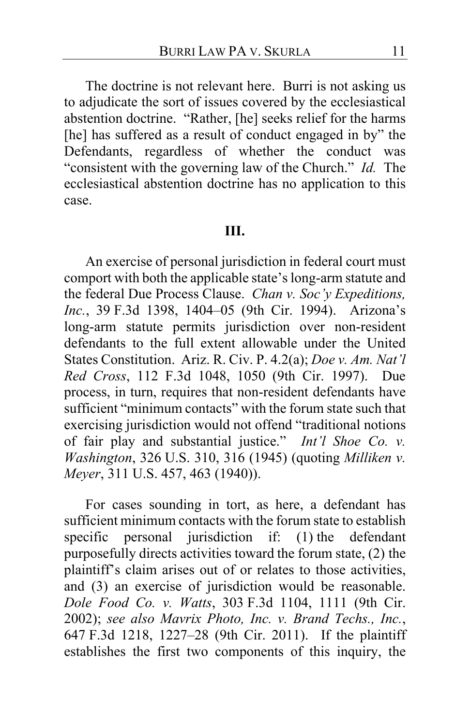The doctrine is not relevant here. Burri is not asking us to adjudicate the sort of issues covered by the ecclesiastical abstention doctrine. "Rather, [he] seeks relief for the harms [he] has suffered as a result of conduct engaged in by" the Defendants, regardless of whether the conduct was "consistent with the governing law of the Church." *Id.* The ecclesiastical abstention doctrine has no application to this case.

# **III.**

An exercise of personal jurisdiction in federal court must comport with both the applicable state's long-arm statute and the federal Due Process Clause. *Chan v. Soc'y Expeditions, Inc.*, 39 F.3d 1398, 1404–05 (9th Cir. 1994). Arizona's long-arm statute permits jurisdiction over non-resident defendants to the full extent allowable under the United States Constitution. Ariz. R. Civ. P. 4.2(a); *Doe v. Am. Nat'l Red Cross*, 112 F.3d 1048, 1050 (9th Cir. 1997). Due process, in turn, requires that non-resident defendants have sufficient "minimum contacts" with the forum state such that exercising jurisdiction would not offend "traditional notions of fair play and substantial justice." *Int'l Shoe Co. v. Washington*, 326 U.S. 310, 316 (1945) (quoting *Milliken v. Meyer*, 311 U.S. 457, 463 (1940)).

For cases sounding in tort, as here, a defendant has sufficient minimum contacts with the forum state to establish specific personal jurisdiction if: (1) the defendant purposefully directs activities toward the forum state, (2) the plaintiff's claim arises out of or relates to those activities, and (3) an exercise of jurisdiction would be reasonable. *Dole Food Co. v. Watts*, 303 F.3d 1104, 1111 (9th Cir. 2002); *see also Mavrix Photo, Inc. v. Brand Techs., Inc.*, 647 F.3d 1218, 1227–28 (9th Cir. 2011). If the plaintiff establishes the first two components of this inquiry, the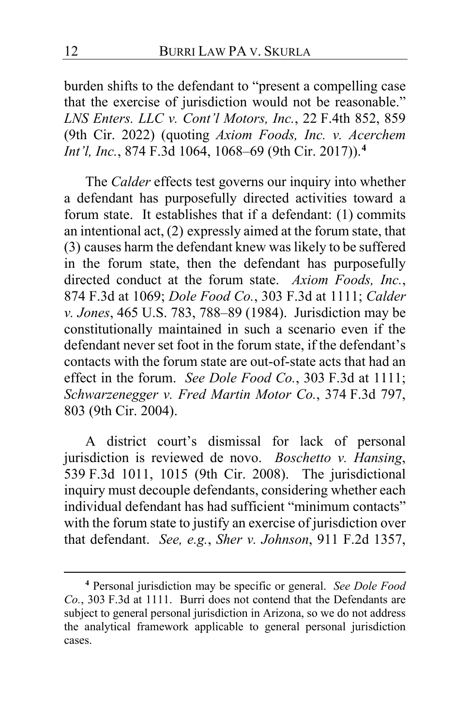burden shifts to the defendant to "present a compelling case that the exercise of jurisdiction would not be reasonable." *LNS Enters. LLC v. Cont'l Motors, Inc.*, 22 F.4th 852, 859 (9th Cir. 2022) (quoting *Axiom Foods, Inc. v. Acerchem Int'l, Inc.*, 874 F.3d 1064, 1068–69 (9th Cir. 2017)). **[4](#page-11-0)**

The *Calder* effects test governs our inquiry into whether a defendant has purposefully directed activities toward a forum state. It establishes that if a defendant: (1) commits an intentional act, (2) expressly aimed at the forum state, that (3) causes harm the defendant knew was likely to be suffered in the forum state, then the defendant has purposefully directed conduct at the forum state. *Axiom Foods, Inc.*, 874 F.3d at 1069; *Dole Food Co.*, 303 F.3d at 1111; *Calder v. Jones*, 465 U.S. 783, 788–89 (1984). Jurisdiction may be constitutionally maintained in such a scenario even if the defendant never set foot in the forum state, if the defendant's contacts with the forum state are out-of-state acts that had an effect in the forum. *See Dole Food Co.*, 303 F.3d at 1111; *Schwarzenegger v. Fred Martin Motor Co.*, 374 F.3d 797, 803 (9th Cir. 2004).

A district court's dismissal for lack of personal jurisdiction is reviewed de novo. *Boschetto v. Hansing*, 539 F.3d 1011, 1015 (9th Cir. 2008). The jurisdictional inquiry must decouple defendants, considering whether each individual defendant has had sufficient "minimum contacts" with the forum state to justify an exercise of jurisdiction over that defendant. *See, e.g.*, *Sher v. Johnson*, 911 F.2d 1357,

<span id="page-11-0"></span>**<sup>4</sup>** Personal jurisdiction may be specific or general. *See Dole Food Co.*, 303 F.3d at 1111. Burri does not contend that the Defendants are subject to general personal jurisdiction in Arizona, so we do not address the analytical framework applicable to general personal jurisdiction cases.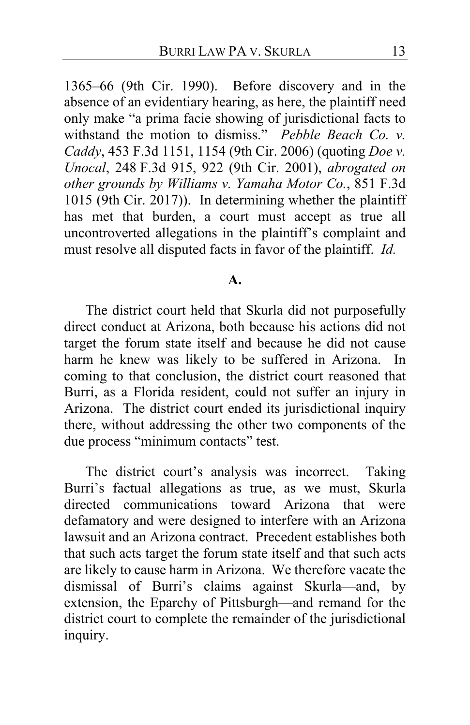1365–66 (9th Cir. 1990). Before discovery and in the absence of an evidentiary hearing, as here, the plaintiff need only make "a prima facie showing of jurisdictional facts to withstand the motion to dismiss." *Pebble Beach Co. v. Caddy*, 453 F.3d 1151, 1154 (9th Cir. 2006) (quoting *Doe v. Unocal*, 248 F.3d 915, 922 (9th Cir. 2001), *abrogated on other grounds by Williams v. Yamaha Motor Co.*, 851 F.3d 1015 (9th Cir. 2017)). In determining whether the plaintiff has met that burden, a court must accept as true all uncontroverted allegations in the plaintiff's complaint and must resolve all disputed facts in favor of the plaintiff. *Id.*

#### **A.**

The district court held that Skurla did not purposefully direct conduct at Arizona, both because his actions did not target the forum state itself and because he did not cause harm he knew was likely to be suffered in Arizona. In coming to that conclusion, the district court reasoned that Burri, as a Florida resident, could not suffer an injury in Arizona. The district court ended its jurisdictional inquiry there, without addressing the other two components of the due process "minimum contacts" test.

The district court's analysis was incorrect. Taking Burri's factual allegations as true, as we must, Skurla directed communications toward Arizona that were defamatory and were designed to interfere with an Arizona lawsuit and an Arizona contract. Precedent establishes both that such acts target the forum state itself and that such acts are likely to cause harm in Arizona. We therefore vacate the dismissal of Burri's claims against Skurla—and, by extension, the Eparchy of Pittsburgh—and remand for the district court to complete the remainder of the jurisdictional inquiry.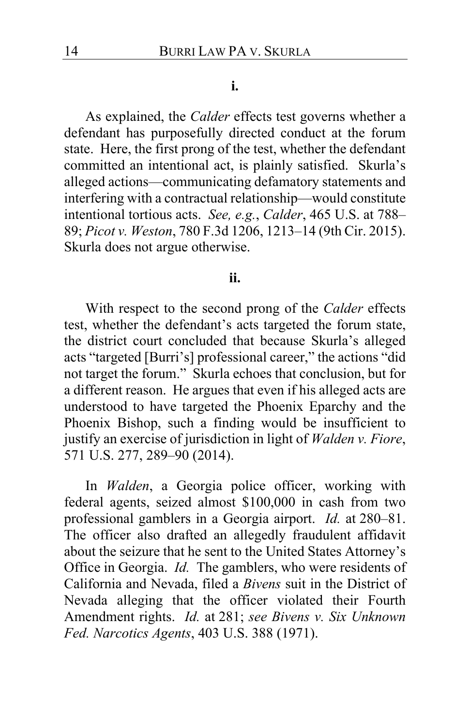#### **i.**

As explained, the *Calder* effects test governs whether a defendant has purposefully directed conduct at the forum state. Here, the first prong of the test, whether the defendant committed an intentional act, is plainly satisfied. Skurla's alleged actions—communicating defamatory statements and interfering with a contractual relationship—would constitute intentional tortious acts. *See, e.g.*, *Calder*, 465 U.S. at 788– 89; *Picot v. Weston*, 780 F.3d 1206, 1213–14 (9th Cir. 2015). Skurla does not argue otherwise.

## **ii.**

With respect to the second prong of the *Calder* effects test, whether the defendant's acts targeted the forum state, the district court concluded that because Skurla's alleged acts "targeted [Burri's] professional career," the actions "did not target the forum." Skurla echoes that conclusion, but for a different reason. He argues that even if his alleged acts are understood to have targeted the Phoenix Eparchy and the Phoenix Bishop, such a finding would be insufficient to justify an exercise of jurisdiction in light of *Walden v. Fiore*, 571 U.S. 277, 289–90 (2014).

In *Walden*, a Georgia police officer, working with federal agents, seized almost \$100,000 in cash from two professional gamblers in a Georgia airport. *Id.* at 280–81. The officer also drafted an allegedly fraudulent affidavit about the seizure that he sent to the United States Attorney's Office in Georgia. *Id.* The gamblers, who were residents of California and Nevada, filed a *Bivens* suit in the District of Nevada alleging that the officer violated their Fourth Amendment rights. *Id.* at 281; *see Bivens v. Six Unknown Fed. Narcotics Agents*, 403 U.S. 388 (1971).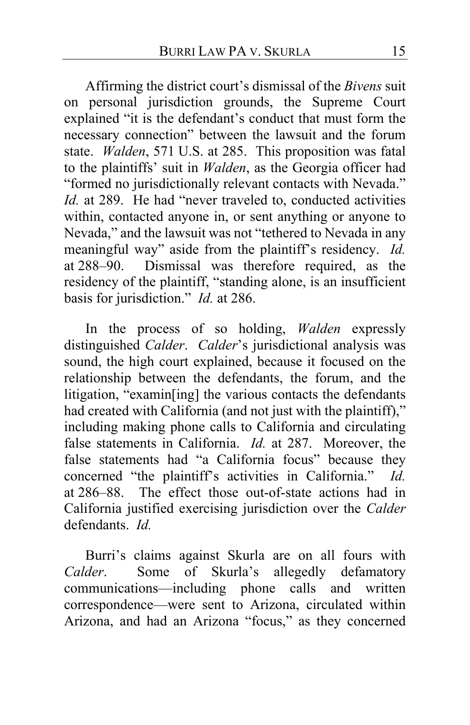Affirming the district court's dismissal of the *Bivens* suit on personal jurisdiction grounds, the Supreme Court explained "it is the defendant's conduct that must form the necessary connection" between the lawsuit and the forum state. *Walden*, 571 U.S. at 285. This proposition was fatal to the plaintiffs' suit in *Walden*, as the Georgia officer had "formed no jurisdictionally relevant contacts with Nevada." *Id.* at 289. He had "never traveled to, conducted activities within, contacted anyone in, or sent anything or anyone to Nevada," and the lawsuit was not "tethered to Nevada in any meaningful way" aside from the plaintiff's residency. *Id.* at 288–90. Dismissal was therefore required, as the residency of the plaintiff, "standing alone, is an insufficient basis for jurisdiction." *Id.* at 286.

In the process of so holding, *Walden* expressly distinguished *Calder*. *Calder*'s jurisdictional analysis was sound, the high court explained, because it focused on the relationship between the defendants, the forum, and the litigation, "examin[ing] the various contacts the defendants had created with California (and not just with the plaintiff)," including making phone calls to California and circulating false statements in California. *Id.* at 287. Moreover, the false statements had "a California focus" because they concerned "the plaintiff's activities in California." *Id.* at 286–88. The effect those out-of-state actions had in California justified exercising jurisdiction over the *Calder*  defendants. *Id.*

Burri's claims against Skurla are on all fours with *Calder*. Some of Skurla's allegedly defamatory communications—including phone calls and written correspondence—were sent to Arizona, circulated within Arizona, and had an Arizona "focus," as they concerned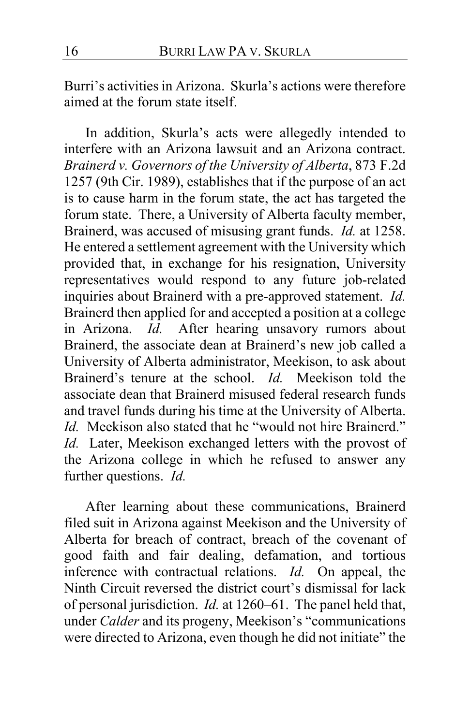Burri's activities in Arizona.Skurla's actions were therefore aimed at the forum state itself.

In addition, Skurla's acts were allegedly intended to interfere with an Arizona lawsuit and an Arizona contract. *Brainerd v. Governors of the University of Alberta*, 873 F.2d 1257 (9th Cir. 1989), establishes that if the purpose of an act is to cause harm in the forum state, the act has targeted the forum state. There, a University of Alberta faculty member, Brainerd, was accused of misusing grant funds. *Id.* at 1258. He entered a settlement agreement with the University which provided that, in exchange for his resignation, University representatives would respond to any future job-related inquiries about Brainerd with a pre-approved statement. *Id.* Brainerd then applied for and accepted a position at a college in Arizona. *Id.* After hearing unsavory rumors about Brainerd, the associate dean at Brainerd's new job called a University of Alberta administrator, Meekison, to ask about Brainerd's tenure at the school. *Id.* Meekison told the associate dean that Brainerd misused federal research funds and travel funds during his time at the University of Alberta. *Id.* Meekison also stated that he "would not hire Brainerd." *Id.* Later, Meekison exchanged letters with the provost of the Arizona college in which he refused to answer any further questions. *Id.*

After learning about these communications, Brainerd filed suit in Arizona against Meekison and the University of Alberta for breach of contract, breach of the covenant of good faith and fair dealing, defamation, and tortious inference with contractual relations. *Id.* On appeal, the Ninth Circuit reversed the district court's dismissal for lack of personal jurisdiction. *Id.* at 1260–61.The panel held that, under *Calder* and its progeny, Meekison's "communications were directed to Arizona, even though he did not initiate" the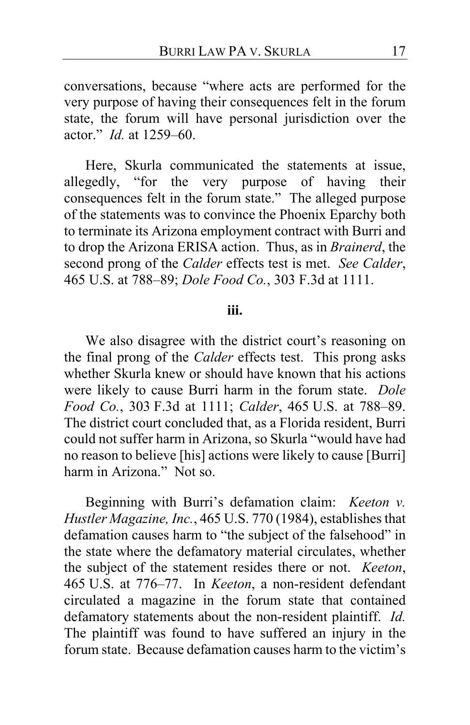conversations, because "where acts are performed for the very purpose of having their consequences felt in the forum state, the forum will have personal jurisdiction over the actor." *Id.* at 1259–60.

Here, Skurla communicated the statements at issue, allegedly, "for the very purpose of having their consequences felt in the forum state." The alleged purpose of the statements was to convince the Phoenix Eparchy both to terminate its Arizona employment contract with Burri and to drop the Arizona ERISA action. Thus, as in *Brainerd*, the second prong of the *Calder* effects test is met. *See Calder*, 465 U.S. at 788–89; *Dole Food Co.*, 303 F.3d at 1111.

### **iii.**

We also disagree with the district court's reasoning on the final prong of the *Calder* effects test. This prong asks whether Skurla knew or should have known that his actions were likely to cause Burri harm in the forum state. *Dole Food Co.*, 303 F.3d at 1111; *Calder*, 465 U.S. at 788–89. The district court concluded that, as a Florida resident, Burri could not suffer harm in Arizona, so Skurla "would have had no reason to believe [his] actions were likely to cause [Burri] harm in Arizona." Not so.

Beginning with Burri's defamation claim: *Keeton v. Hustler Magazine, Inc.*, 465 U.S. 770 (1984), establishes that defamation causes harm to "the subject of the falsehood" in the state where the defamatory material circulates, whether the subject of the statement resides there or not. *Keeton*, 465 U.S. at 776–77. In *Keeton*, a non-resident defendant circulated a magazine in the forum state that contained defamatory statements about the non-resident plaintiff. *Id.* The plaintiff was found to have suffered an injury in the forum state. Because defamation causes harm to the victim's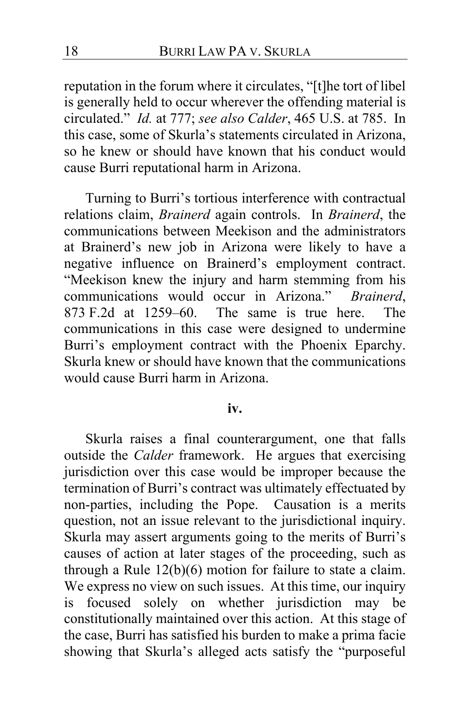reputation in the forum where it circulates, "[t]he tort of libel is generally held to occur wherever the offending material is circulated." *Id.* at 777; *see also Calder*, 465 U.S. at 785. In this case, some of Skurla's statements circulated in Arizona, so he knew or should have known that his conduct would cause Burri reputational harm in Arizona.

Turning to Burri's tortious interference with contractual relations claim, *Brainerd* again controls. In *Brainerd*, the communications between Meekison and the administrators at Brainerd's new job in Arizona were likely to have a negative influence on Brainerd's employment contract. "Meekison knew the injury and harm stemming from his communications would occur in Arizona." *Brainerd*, 873 F.2d at 1259–60. The same is true here. The communications in this case were designed to undermine Burri's employment contract with the Phoenix Eparchy. Skurla knew or should have known that the communications would cause Burri harm in Arizona.

#### **iv.**

Skurla raises a final counterargument, one that falls outside the *Calder* framework. He argues that exercising jurisdiction over this case would be improper because the termination of Burri's contract was ultimately effectuated by non-parties, including the Pope. Causation is a merits question, not an issue relevant to the jurisdictional inquiry. Skurla may assert arguments going to the merits of Burri's causes of action at later stages of the proceeding, such as through a Rule 12(b)(6) motion for failure to state a claim. We express no view on such issues. At this time, our inquiry is focused solely on whether jurisdiction may be constitutionally maintained over this action. At this stage of the case, Burri has satisfied his burden to make a prima facie showing that Skurla's alleged acts satisfy the "purposeful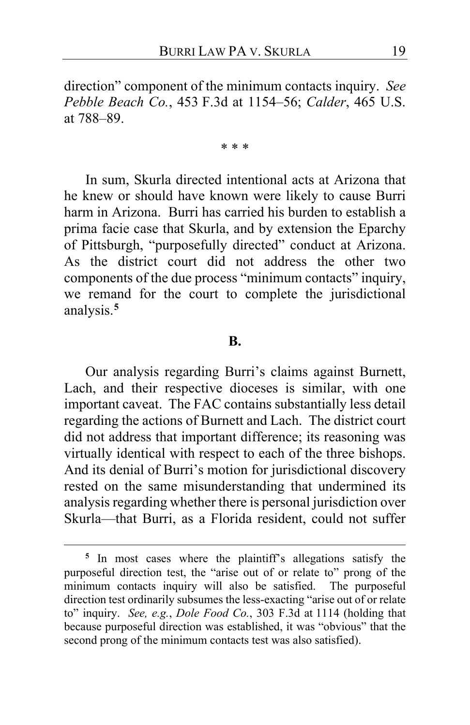direction" component of the minimum contacts inquiry. *See Pebble Beach Co.*, 453 F.3d at 1154–56; *Calder*, 465 U.S. at 788–89.

\* \* \*

In sum, Skurla directed intentional acts at Arizona that he knew or should have known were likely to cause Burri harm in Arizona. Burri has carried his burden to establish a prima facie case that Skurla, and by extension the Eparchy of Pittsburgh, "purposefully directed" conduct at Arizona. As the district court did not address the other two components of the due process "minimum contacts" inquiry, we remand for the court to complete the jurisdictional analysis.**[5](#page-18-0)**

#### **B.**

Our analysis regarding Burri's claims against Burnett, Lach, and their respective dioceses is similar, with one important caveat. The FAC contains substantially less detail regarding the actions of Burnett and Lach. The district court did not address that important difference; its reasoning was virtually identical with respect to each of the three bishops. And its denial of Burri's motion for jurisdictional discovery rested on the same misunderstanding that undermined its analysis regarding whether there is personal jurisdiction over Skurla—that Burri, as a Florida resident, could not suffer

<span id="page-18-0"></span>**<sup>5</sup>** In most cases where the plaintiff's allegations satisfy the purposeful direction test, the "arise out of or relate to" prong of the minimum contacts inquiry will also be satisfied. The purposeful direction test ordinarily subsumes the less-exacting "arise out of or relate to" inquiry. *See, e.g.*, *Dole Food Co.*, 303 F.3d at 1114 (holding that because purposeful direction was established, it was "obvious" that the second prong of the minimum contacts test was also satisfied).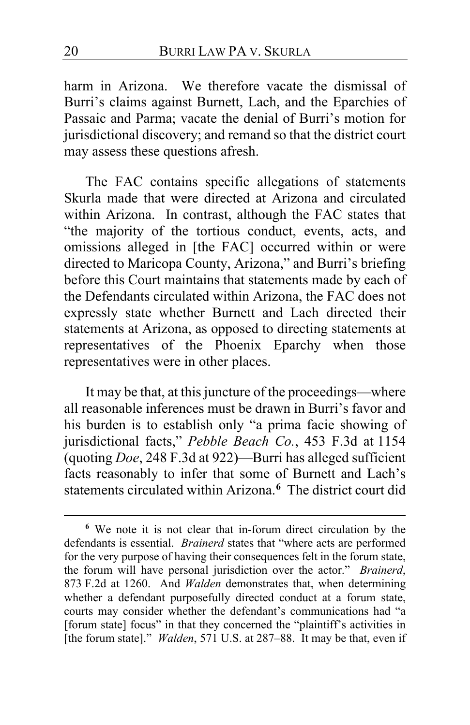harm in Arizona. We therefore vacate the dismissal of Burri's claims against Burnett, Lach, and the Eparchies of Passaic and Parma; vacate the denial of Burri's motion for jurisdictional discovery; and remand so that the district court may assess these questions afresh.

The FAC contains specific allegations of statements Skurla made that were directed at Arizona and circulated within Arizona. In contrast, although the FAC states that "the majority of the tortious conduct, events, acts, and omissions alleged in [the FAC] occurred within or were directed to Maricopa County, Arizona," and Burri's briefing before this Court maintains that statements made by each of the Defendants circulated within Arizona, the FAC does not expressly state whether Burnett and Lach directed their statements at Arizona, as opposed to directing statements at representatives of the Phoenix Eparchy when those representatives were in other places.

It may be that, at this juncture of the proceedings—where all reasonable inferences must be drawn in Burri's favor and his burden is to establish only "a prima facie showing of jurisdictional facts," *Pebble Beach Co.*, 453 F.3d at 1154 (quoting *Doe*, 248 F.3d at 922)—Burri has alleged sufficient facts reasonably to infer that some of Burnett and Lach's statements circulated within Arizona.**[6](#page-19-0)** The district court did

<span id="page-19-0"></span>**<sup>6</sup>** We note it is not clear that in-forum direct circulation by the defendants is essential. *Brainerd* states that "where acts are performed for the very purpose of having their consequences felt in the forum state, the forum will have personal jurisdiction over the actor." *Brainerd*, 873 F.2d at 1260. And *Walden* demonstrates that, when determining whether a defendant purposefully directed conduct at a forum state, courts may consider whether the defendant's communications had "a [forum state] focus" in that they concerned the "plaintiff's activities in [the forum state]." *Walden*, 571 U.S. at 287–88. It may be that, even if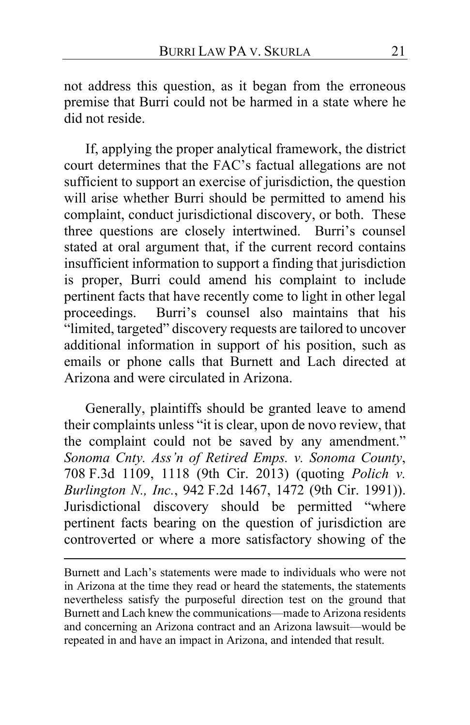not address this question, as it began from the erroneous premise that Burri could not be harmed in a state where he did not reside.

If, applying the proper analytical framework, the district court determines that the FAC's factual allegations are not sufficient to support an exercise of jurisdiction, the question will arise whether Burri should be permitted to amend his complaint, conduct jurisdictional discovery, or both. These three questions are closely intertwined. Burri's counsel stated at oral argument that, if the current record contains insufficient information to support a finding that jurisdiction is proper, Burri could amend his complaint to include pertinent facts that have recently come to light in other legal proceedings. Burri's counsel also maintains that his "limited, targeted" discovery requests are tailored to uncover additional information in support of his position, such as emails or phone calls that Burnett and Lach directed at Arizona and were circulated in Arizona.

Generally, plaintiffs should be granted leave to amend their complaints unless "it is clear, upon de novo review, that the complaint could not be saved by any amendment." *Sonoma Cnty. Ass'n of Retired Emps. v. Sonoma County*, 708 F.3d 1109, 1118 (9th Cir. 2013) (quoting *Polich v. Burlington N., Inc.*, 942 F.2d 1467, 1472 (9th Cir. 1991)). Jurisdictional discovery should be permitted "where pertinent facts bearing on the question of jurisdiction are controverted or where a more satisfactory showing of the

Burnett and Lach's statements were made to individuals who were not in Arizona at the time they read or heard the statements, the statements nevertheless satisfy the purposeful direction test on the ground that Burnett and Lach knew the communications—made to Arizona residents and concerning an Arizona contract and an Arizona lawsuit—would be repeated in and have an impact in Arizona, and intended that result.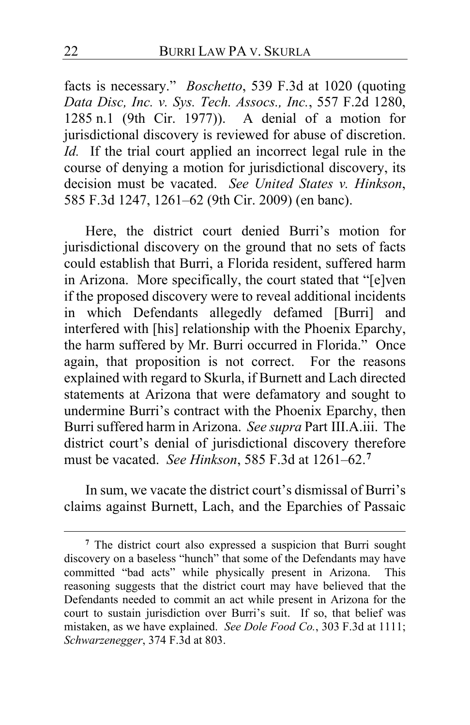facts is necessary." *Boschetto*, 539 F.3d at 1020 (quoting *Data Disc, Inc. v. Sys. Tech. Assocs., Inc.*, 557 F.2d 1280, 1285 n.1 (9th Cir. 1977)). A denial of a motion for jurisdictional discovery is reviewed for abuse of discretion. *Id.* If the trial court applied an incorrect legal rule in the course of denying a motion for jurisdictional discovery, its decision must be vacated. *See United States v. Hinkson*, 585 F.3d 1247, 1261–62 (9th Cir. 2009) (en banc).

Here, the district court denied Burri's motion for jurisdictional discovery on the ground that no sets of facts could establish that Burri, a Florida resident, suffered harm in Arizona. More specifically, the court stated that "[e]ven if the proposed discovery were to reveal additional incidents in which Defendants allegedly defamed [Burri] and interfered with [his] relationship with the Phoenix Eparchy, the harm suffered by Mr. Burri occurred in Florida." Once again, that proposition is not correct. For the reasons explained with regard to Skurla, if Burnett and Lach directed statements at Arizona that were defamatory and sought to undermine Burri's contract with the Phoenix Eparchy, then Burri suffered harm in Arizona. *See supra* Part III.A.iii. The district court's denial of jurisdictional discovery therefore must be vacated. *See Hinkson*, 585 F.3d at 1261–62.**[7](#page-21-0)**

In sum, we vacate the district court's dismissal of Burri's claims against Burnett, Lach, and the Eparchies of Passaic

<span id="page-21-0"></span>**<sup>7</sup>** The district court also expressed a suspicion that Burri sought discovery on a baseless "hunch" that some of the Defendants may have committed "bad acts" while physically present in Arizona. This reasoning suggests that the district court may have believed that the Defendants needed to commit an act while present in Arizona for the court to sustain jurisdiction over Burri's suit. If so, that belief was mistaken, as we have explained. *See Dole Food Co.*, 303 F.3d at 1111; *Schwarzenegger*, 374 F.3d at 803.